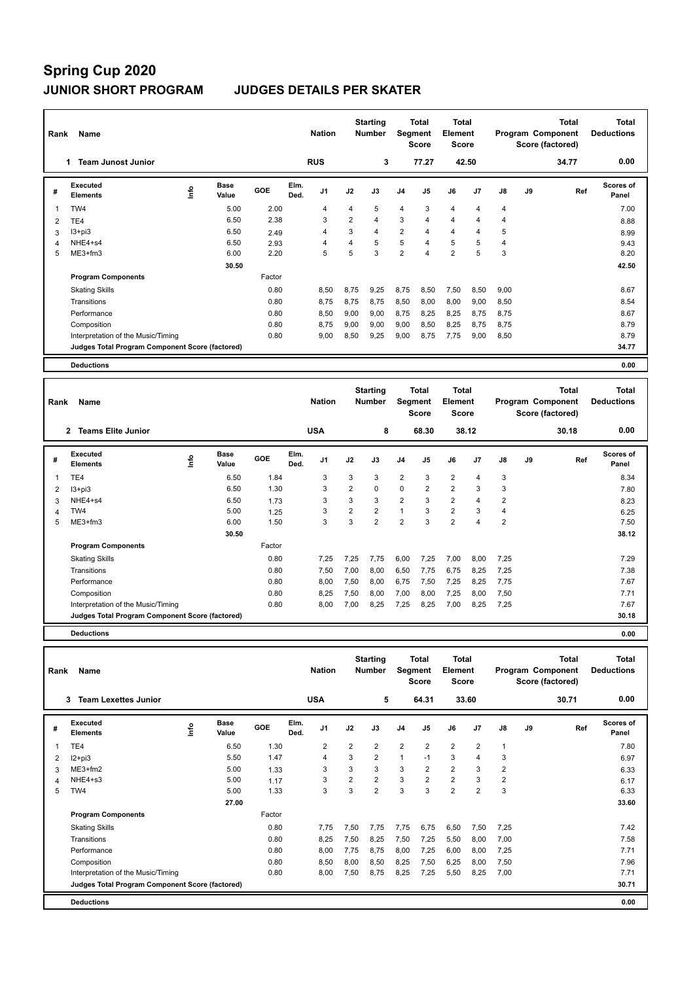| Rank           | Name                                            |                              |        | <b>Nation</b>                  |                | <b>Starting</b><br><b>Number</b> |                | <b>Total</b><br>Segment<br><b>Score</b> | Total<br>Element<br><b>Score</b>        |                |               |    | <b>Total</b><br>Program Component<br>Score (factored) | <b>Total</b><br><b>Deductions</b> |
|----------------|-------------------------------------------------|------------------------------|--------|--------------------------------|----------------|----------------------------------|----------------|-----------------------------------------|-----------------------------------------|----------------|---------------|----|-------------------------------------------------------|-----------------------------------|
|                | <b>Team Junost Junior</b>                       |                              |        | <b>RUS</b>                     |                | 3                                |                | 77.27                                   |                                         | 42.50          |               |    | 34.77                                                 | 0.00                              |
| #              | <b>Executed</b><br><b>Elements</b>              | <b>Base</b><br>١nfo<br>Value | GOE    | Elm.<br>J <sub>1</sub><br>Ded. | J2             | J3                               | J <sub>4</sub> | J5                                      | J6                                      | J <sub>7</sub> | $\mathsf{J}8$ | J9 | Ref                                                   | <b>Scores of</b><br>Panel         |
| 1              | TW4                                             | 5.00                         | 2.00   | 4                              | 4              | 5                                | 4              | 3                                       | 4                                       | 4              | 4             |    |                                                       | 7.00                              |
| $\overline{2}$ | TE4                                             | 6.50                         | 2.38   | 3                              | $\overline{2}$ | $\overline{4}$                   | 3              | $\overline{4}$                          | $\overline{4}$                          | 4              | 4             |    |                                                       | 8.88                              |
| 3              | $13 + pi3$                                      | 6.50                         | 2.49   | 4                              | 3              | $\overline{4}$                   | $\overline{2}$ | 4                                       | 4                                       | 4              | 5             |    |                                                       | 8.99                              |
| 4              | NHE4+s4                                         | 6.50                         | 2.93   | 4                              | 4              | 5                                | 5              | $\overline{4}$                          | 5                                       | 5              | 4             |    |                                                       | 9.43                              |
| 5              | ME3+fm3                                         | 6.00                         | 2.20   | 5                              | 5              | 3                                | $\overline{2}$ | 4                                       | $\overline{2}$                          | 5              | 3             |    |                                                       | 8.20                              |
|                |                                                 | 30.50                        |        |                                |                |                                  |                |                                         |                                         |                |               |    |                                                       | 42.50                             |
|                | <b>Program Components</b>                       |                              | Factor |                                |                |                                  |                |                                         |                                         |                |               |    |                                                       |                                   |
|                | <b>Skating Skills</b>                           |                              | 0.80   | 8.50                           | 8.75           | 9.25                             | 8,75           | 8,50                                    | 7,50                                    | 8,50           | 9,00          |    |                                                       | 8.67                              |
|                | Transitions                                     |                              | 0.80   | 8.75                           | 8.75           | 8,75                             | 8,50           | 8,00                                    | 8,00                                    | 9,00           | 8,50          |    |                                                       | 8.54                              |
|                | Performance                                     |                              | 0.80   | 8,50                           | 9.00           | 9,00                             | 8,75           | 8,25                                    | 8.25                                    | 8,75           | 8.75          |    |                                                       | 8.67                              |
|                | Composition                                     |                              | 0.80   | 8.75                           | 9,00           | 9.00                             | 9,00           | 8,50                                    | 8,25                                    | 8,75           | 8.75          |    |                                                       | 8.79                              |
|                | Interpretation of the Music/Timing              |                              | 0.80   | 9,00                           | 8,50           | 9,25                             | 9,00           | 8,75                                    | 7,75                                    | 9,00           | 8,50          |    |                                                       | 8.79                              |
|                | Judges Total Program Component Score (factored) |                              |        |                                |                |                                  |                |                                         |                                         |                |               |    |                                                       | 34.77                             |
|                | <b>Deductions</b>                               |                              |        |                                |                |                                  |                |                                         |                                         |                |               |    |                                                       | 0.00                              |
|                |                                                 |                              |        |                                |                |                                  |                |                                         |                                         |                |               |    |                                                       |                                   |
| Rank           | Name                                            |                              |        | <b>Nation</b>                  |                | <b>Starting</b><br><b>Number</b> |                | <b>Total</b><br>Segment<br><b>Score</b> | <b>Total</b><br>Element<br><b>Score</b> |                |               |    | <b>Total</b><br>Program Component<br>Score (factored) | <b>Total</b><br><b>Deductions</b> |
|                | <b>Teams Elite Junior</b><br>2                  |                              |        | <b>USA</b>                     |                | 8                                |                | 68.30                                   |                                         | 38.12          |               |    | 30.18                                                 | 0.00                              |

|   | Teams Elite Junior<br>∠                         |                     |        | บอห                            |                | ۰              |                | 00.JU |                | 30. IZ |                |    | 30. IO | v.vv                      |
|---|-------------------------------------------------|---------------------|--------|--------------------------------|----------------|----------------|----------------|-------|----------------|--------|----------------|----|--------|---------------------------|
| # | <b>Executed</b><br><b>Elements</b>              | Base<br>١n<br>Value | GOE    | Elm.<br>J <sub>1</sub><br>Ded. | J2             | J3             | J <sub>4</sub> | J5    | J6             | J7     | $\mathsf{J}8$  | J9 | Ref    | <b>Scores of</b><br>Panel |
|   | TE4                                             | 6.50                | 1.84   | 3                              | 3              | 3              | $\overline{2}$ | 3     | $\overline{2}$ | 4      | 3              |    |        | 8.34                      |
| 2 | $13 + pi3$                                      | 6.50                | 1.30   | 3                              | 2              | 0              | 0              | 2     | $\overline{2}$ | 3      | 3              |    |        | 7.80                      |
| 3 | NHE4+s4                                         | 6.50                | 1.73   | 3                              | 3              | 3              | $\overline{2}$ | 3     | 2              | 4      | $\overline{2}$ |    |        | 8.23                      |
| 4 | TW4                                             | 5.00                | 1.25   | 3                              | $\overline{2}$ | $\overline{2}$ |                | 3     | $\overline{2}$ | 3      | $\overline{4}$ |    |        | 6.25                      |
| 5 | $ME3+fm3$                                       | 6.00                | 1.50   | 3                              | 3              | 2              | 2              | 3     | $\overline{2}$ | 4      | $\overline{2}$ |    |        | 7.50                      |
|   |                                                 | 30.50               |        |                                |                |                |                |       |                |        |                |    |        | 38.12                     |
|   | <b>Program Components</b>                       |                     | Factor |                                |                |                |                |       |                |        |                |    |        |                           |
|   | <b>Skating Skills</b>                           |                     | 0.80   | 7,25                           | 7,25           | 7,75           | 6,00           | 7,25  | 7,00           | 8,00   | 7,25           |    |        | 7.29                      |
|   | Transitions                                     |                     | 0.80   | 7,50                           | 7,00           | 8,00           | 6,50           | 7,75  | 6,75           | 8,25   | 7,25           |    |        | 7.38                      |
|   | Performance                                     |                     | 0.80   | 8,00                           | 7,50           | 8,00           | 6,75           | 7,50  | 7,25           | 8,25   | 7,75           |    |        | 7.67                      |
|   | Composition                                     |                     | 0.80   | 8,25                           | 7,50           | 8,00           | 7,00           | 8,00  | 7,25           | 8,00   | 7,50           |    |        | 7.71                      |
|   | Interpretation of the Music/Timing              |                     | 0.80   | 8,00                           | 7,00           | 8,25           | 7,25           | 8,25  | 7,00           | 8,25   | 7,25           |    |        | 7.67                      |
|   | Judges Total Program Component Score (factored) |                     |        |                                |                |                |                |       |                |        |                |    |        | 30.18                     |
|   |                                                 |                     |        |                                |                |                |                |       |                |        |                |    |        |                           |

**Deductions 0.00**

| Rank | Name                                            |      |                      |        |              | <b>Nation</b>  |                | <b>Starting</b><br><b>Number</b> | Segment        | Total<br><b>Score</b> | <b>Total</b><br>Element<br><b>Score</b> |                |      |    | <b>Total</b><br>Program Component<br>Score (factored) | <b>Total</b><br><b>Deductions</b> |
|------|-------------------------------------------------|------|----------------------|--------|--------------|----------------|----------------|----------------------------------|----------------|-----------------------|-----------------------------------------|----------------|------|----|-------------------------------------------------------|-----------------------------------|
|      | <b>Team Lexettes Junior</b><br>3                |      |                      |        |              | <b>USA</b>     |                | 5                                |                | 64.31                 |                                         | 33.60          |      |    | 30.71                                                 | 0.00                              |
| #    | <b>Executed</b><br><b>Elements</b>              | lnfo | <b>Base</b><br>Value | GOE    | Elm.<br>Ded. | J <sub>1</sub> | J2             | J3                               | J <sub>4</sub> | J5                    | J6                                      | J <sub>7</sub> | J8   | J9 | Ref                                                   | Scores of<br>Panel                |
| 1    | TE4                                             |      | 6.50                 | 1.30   |              | 2              | 2              | $\overline{2}$                   | 2              | 2                     | $\overline{2}$                          | $\overline{2}$ |      |    |                                                       | 7.80                              |
| 2    | $12+pi3$                                        |      | 5.50                 | 1.47   |              | $\overline{4}$ | 3              | $\overline{2}$                   | $\mathbf{1}$   | $-1$                  | 3                                       | 4              | 3    |    |                                                       | 6.97                              |
| 3    | $ME3+fm2$                                       |      | 5.00                 | 1.33   |              | 3              | 3              | 3                                | 3              | $\overline{2}$        | $\overline{2}$                          | 3              | 2    |    |                                                       | 6.33                              |
| 4    | NHE4+s3                                         |      | 5.00                 | 1.17   |              | 3              | $\overline{2}$ | $\overline{2}$                   | 3              | $\overline{2}$        | $\overline{2}$                          | 3              | 2    |    |                                                       | 6.17                              |
| 5    | TW4                                             |      | 5.00                 | 1.33   |              | 3              | 3              | $\overline{2}$                   | 3              | 3                     | $\overline{2}$                          | $\overline{2}$ | 3    |    |                                                       | 6.33                              |
|      |                                                 |      | 27.00                |        |              |                |                |                                  |                |                       |                                         |                |      |    |                                                       | 33.60                             |
|      | <b>Program Components</b>                       |      |                      | Factor |              |                |                |                                  |                |                       |                                         |                |      |    |                                                       |                                   |
|      | <b>Skating Skills</b>                           |      |                      | 0.80   |              | 7,75           | 7,50           | 7.75                             | 7.75           | 6,75                  | 6,50                                    | 7,50           | 7,25 |    |                                                       | 7.42                              |
|      | Transitions                                     |      |                      | 0.80   |              | 8,25           | 7,50           | 8,25                             | 7,50           | 7,25                  | 5,50                                    | 8,00           | 7,00 |    |                                                       | 7.58                              |
|      | Performance                                     |      |                      | 0.80   |              | 8,00           | 7,75           | 8.75                             | 8,00           | 7,25                  | 6,00                                    | 8,00           | 7.25 |    |                                                       | 7.71                              |
|      | Composition                                     |      |                      | 0.80   |              | 8,50           | 8,00           | 8,50                             | 8,25           | 7,50                  | 6,25                                    | 8,00           | 7,50 |    |                                                       | 7.96                              |
|      | Interpretation of the Music/Timing              |      |                      | 0.80   |              | 8,00           | 7,50           | 8,75                             | 8,25           | 7,25                  | 5,50                                    | 8,25           | 7,00 |    |                                                       | 7.71                              |
|      | Judges Total Program Component Score (factored) |      |                      |        |              |                |                |                                  |                |                       |                                         |                |      |    |                                                       | 30.71                             |
|      | <b>Deductions</b>                               |      |                      |        |              |                |                |                                  |                |                       |                                         |                |      |    |                                                       | 0.00                              |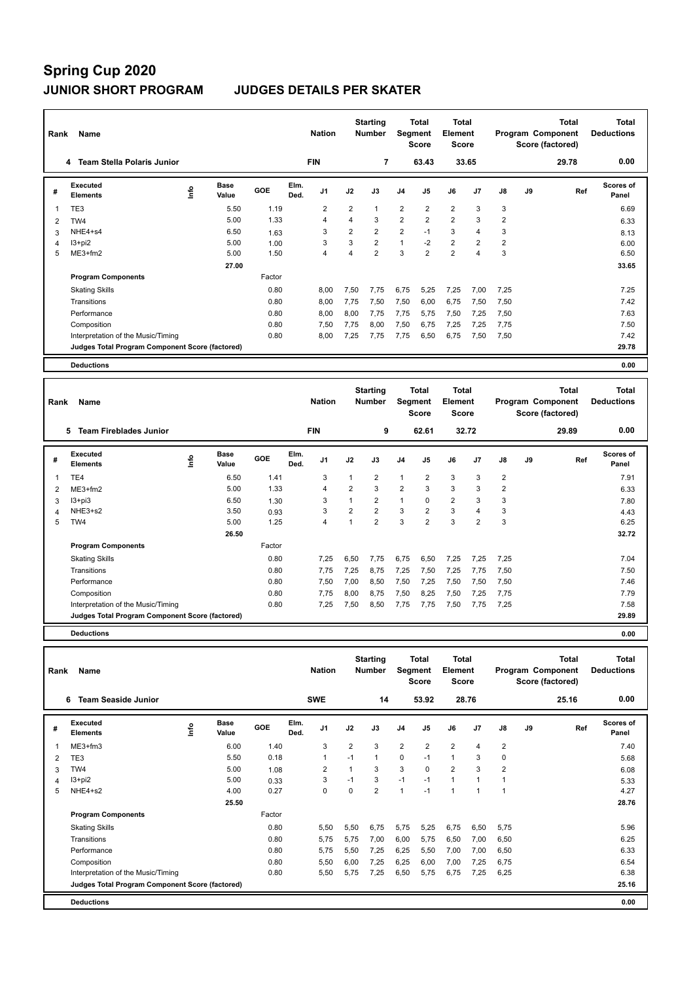| Rank           | Name                                            |                              |        | <b>Nation</b>                  |                | <b>Starting</b><br><b>Number</b> |                | Total<br>Segment<br><b>Score</b>        | <b>Total</b><br>Element<br><b>Score</b> |                |                |    | <b>Total</b><br>Program Component<br>Score (factored) | Total<br><b>Deductions</b> |
|----------------|-------------------------------------------------|------------------------------|--------|--------------------------------|----------------|----------------------------------|----------------|-----------------------------------------|-----------------------------------------|----------------|----------------|----|-------------------------------------------------------|----------------------------|
|                | <b>Team Stella Polaris Junior</b><br>4          |                              |        | <b>FIN</b>                     |                | 7                                |                | 63.43                                   |                                         | 33.65          |                |    | 29.78                                                 | 0.00                       |
| #              | Executed<br><b>Elements</b>                     | Base<br>۴ů<br>Value          | GOE    | Elm.<br>J <sub>1</sub><br>Ded. | J2             | J3                               | J <sub>4</sub> | J <sub>5</sub>                          | J6                                      | J <sub>7</sub> | J8             | J9 | Ref                                                   | Scores of<br>Panel         |
| 1              | TE <sub>3</sub>                                 | 5.50                         | 1.19   | $\overline{2}$                 | $\overline{2}$ | $\mathbf{1}$                     | $\overline{2}$ | $\overline{2}$                          | $\overline{2}$                          | 3              | 3              |    |                                                       | 6.69                       |
| $\overline{2}$ | TW4                                             | 5.00                         | 1.33   | 4                              | 4              | 3                                | $\overline{2}$ | $\overline{2}$                          | $\overline{2}$                          | 3              | $\overline{2}$ |    |                                                       | 6.33                       |
| 3              | NHE4+s4                                         | 6.50                         | 1.63   | 3                              | $\overline{2}$ | $\overline{2}$                   | $\overline{2}$ | $-1$                                    | 3                                       | 4              | 3              |    |                                                       | 8.13                       |
| 4              | $13+pi2$                                        | 5.00                         | 1.00   | 3                              | 3              | $\overline{2}$                   | $\mathbf{1}$   | $-2$                                    | $\overline{2}$                          | $\overline{2}$ | $\overline{2}$ |    |                                                       | 6.00                       |
| 5              | ME3+fm2                                         | 5.00                         | 1.50   | 4                              | 4              | $\overline{2}$                   | 3              | $\overline{2}$                          | $\overline{2}$                          | 4              | 3              |    |                                                       | 6.50                       |
|                |                                                 | 27.00                        |        |                                |                |                                  |                |                                         |                                         |                |                |    |                                                       | 33.65                      |
|                | <b>Program Components</b>                       |                              | Factor |                                |                |                                  |                |                                         |                                         |                |                |    |                                                       |                            |
|                | <b>Skating Skills</b>                           |                              | 0.80   | 8.00                           | 7,50           | 7.75                             | 6,75           | 5,25                                    | 7,25                                    | 7,00           | 7,25           |    |                                                       | 7.25                       |
|                | Transitions                                     |                              | 0.80   | 8,00                           | 7,75           | 7,50                             | 7,50           | 6,00                                    | 6,75                                    | 7,50           | 7,50           |    |                                                       | 7.42                       |
|                | Performance                                     |                              | 0.80   | 8.00                           | 8,00           | 7.75                             | 7,75           | 5,75                                    | 7,50                                    | 7,25           | 7,50           |    |                                                       | 7.63                       |
|                | Composition                                     |                              | 0.80   | 7,50                           | 7,75           | 8,00                             | 7,50           | 6,75                                    | 7,25                                    | 7,25           | 7,75           |    |                                                       | 7.50                       |
|                | Interpretation of the Music/Timing              |                              | 0.80   | 8.00                           | 7,25           | 7,75                             | 7,75           | 6,50                                    | 6,75                                    | 7,50           | 7,50           |    |                                                       | 7.42                       |
|                | Judges Total Program Component Score (factored) |                              |        |                                |                |                                  |                |                                         |                                         |                |                |    |                                                       | 29.78                      |
|                | <b>Deductions</b>                               |                              |        |                                |                |                                  |                |                                         |                                         |                |                |    |                                                       | 0.00                       |
| Rank           | Name                                            |                              |        | <b>Nation</b>                  |                | <b>Starting</b><br><b>Number</b> |                | <b>Total</b><br>Segment<br><b>Score</b> | <b>Total</b><br>Element<br><b>Score</b> |                |                |    | <b>Total</b><br>Program Component<br>Score (factored) | Total<br><b>Deductions</b> |
|                | <b>Team Fireblades Junior</b><br>5.             |                              |        | <b>FIN</b>                     |                | 9                                |                | 62.61                                   |                                         | 32.72          |                |    | 29.89                                                 | 0.00                       |
| #              | Executed<br><b>Elements</b>                     | <b>Base</b><br>١nf٥<br>Value | GOE    | Elm.<br>J <sub>1</sub><br>Ded. | J2             | J3                               | J <sub>4</sub> | J <sub>5</sub>                          | J6                                      | J7             | J8             | J9 | Ref                                                   | Scores of<br>Panel         |

 ME3+fm2 5.00 1.33 4 2 3 2 3 3 3 2 6.33 I3+pi3 6.50 1.30 3 1 2 1 0 2 3 3 7.80 NHE3+s2 3.50 0.93 3 2 2 3 2 3 4 3 4.43 TW4 5.00 1.25 4 1 2 3 2 3 2 3 6.25

Skating Skills 7,25 6,50 7,75 6,75 6,50 7,25 7,25 7,25 0.80 7.04

Transitions 0.80 7,75 7,25 8,75 7,25 7,50 7,25 7,75 7,50 7.50 Performance 0.80 7,50 7,00 8,50 7,50 7,25 7,50 7,50 7,50 7.46 Composition 2.00 0.80 7,75 8,00 8,75 7,50 8,25 7,50 7,25 7,75 7.79 7.79 Interpretation of the Music/Timing 0.80 7,25 7,50 8,50 7,75 7,75 7,50 7,75 7,25 7.58

**Judges Total Program Component Score (factored) 29.89**

 **26.50 32.72**

7.91

1 6.50 1.41 3 1 2 1 2 3 3 2

Factor

**Deductions 0.00**

**Program Components** 

TE4

| Rank | Name                                            |    |                      |        |              | <b>Nation</b>  |                | <b>Starting</b><br><b>Number</b> | Segment        | Total<br><b>Score</b> | <b>Total</b><br>Element<br><b>Score</b> |                |                |    | <b>Total</b><br>Program Component<br>Score (factored) | <b>Total</b><br><b>Deductions</b> |
|------|-------------------------------------------------|----|----------------------|--------|--------------|----------------|----------------|----------------------------------|----------------|-----------------------|-----------------------------------------|----------------|----------------|----|-------------------------------------------------------|-----------------------------------|
|      | <b>Team Seaside Junior</b><br>6                 |    |                      |        |              | <b>SWE</b>     |                | 14                               |                | 53.92                 | 28.76                                   |                |                |    | 25.16                                                 | 0.00                              |
| #    | Executed<br><b>Elements</b>                     | ١m | <b>Base</b><br>Value | GOE    | Elm.<br>Ded. | J <sub>1</sub> | J2             | J3                               | J <sub>4</sub> | J5                    | J6                                      | J <sub>7</sub> | J8             | J9 | Ref                                                   | <b>Scores of</b><br>Panel         |
|      | $ME3+fm3$                                       |    | 6.00                 | 1.40   |              | 3              | $\overline{2}$ | 3                                | $\overline{2}$ | $\overline{2}$        | $\overline{2}$                          | 4              | $\overline{2}$ |    |                                                       | 7.40                              |
| 2    | TE3                                             |    | 5.50                 | 0.18   |              | $\mathbf 1$    | $-1$           | $\mathbf{1}$                     | $\mathbf 0$    | $-1$                  | $\mathbf{1}$                            | 3              | $\Omega$       |    |                                                       | 5.68                              |
| 3    | TW4                                             |    | 5.00                 | 1.08   |              | $\overline{2}$ |                | 3                                | 3              | $\Omega$              | $\overline{2}$                          | 3              | 2              |    |                                                       | 6.08                              |
| 4    | I3+pi2                                          |    | 5.00                 | 0.33   |              | 3              | $-1$           | 3                                | $-1$           | $-1$                  | 1                                       | $\mathbf{1}$   |                |    |                                                       | 5.33                              |
| 5    | NHE4+s2                                         |    | 4.00                 | 0.27   |              | $\mathbf 0$    | 0              | $\overline{2}$                   | 1              | $-1$                  | 1                                       | 1              |                |    |                                                       | 4.27                              |
|      |                                                 |    | 25.50                |        |              |                |                |                                  |                |                       |                                         |                |                |    |                                                       | 28.76                             |
|      | <b>Program Components</b>                       |    |                      | Factor |              |                |                |                                  |                |                       |                                         |                |                |    |                                                       |                                   |
|      | <b>Skating Skills</b>                           |    |                      | 0.80   |              | 5,50           | 5,50           | 6,75                             | 5,75           | 5,25                  | 6,75                                    | 6,50           | 5,75           |    |                                                       | 5.96                              |
|      | Transitions                                     |    |                      | 0.80   |              | 5.75           | 5.75           | 7,00                             | 6,00           | 5,75                  | 6,50                                    | 7,00           | 6,50           |    |                                                       | 6.25                              |
|      | Performance                                     |    |                      | 0.80   |              | 5.75           | 5,50           | 7,25                             | 6,25           | 5,50                  | 7,00                                    | 7,00           | 6,50           |    |                                                       | 6.33                              |
|      | Composition                                     |    |                      | 0.80   |              | 5,50           | 6,00           | 7,25                             | 6,25           | 6,00                  | 7,00                                    | 7,25           | 6.75           |    |                                                       | 6.54                              |
|      | Interpretation of the Music/Timing              |    |                      | 0.80   |              | 5,50           | 5,75           | 7,25                             | 6,50           | 5,75                  | 6,75                                    | 7,25           | 6,25           |    |                                                       | 6.38                              |
|      | Judges Total Program Component Score (factored) |    |                      |        |              |                |                |                                  |                |                       |                                         |                |                |    |                                                       | 25.16                             |
|      | <b>Deductions</b>                               |    |                      |        |              |                |                |                                  |                |                       |                                         |                |                |    |                                                       | 0.00                              |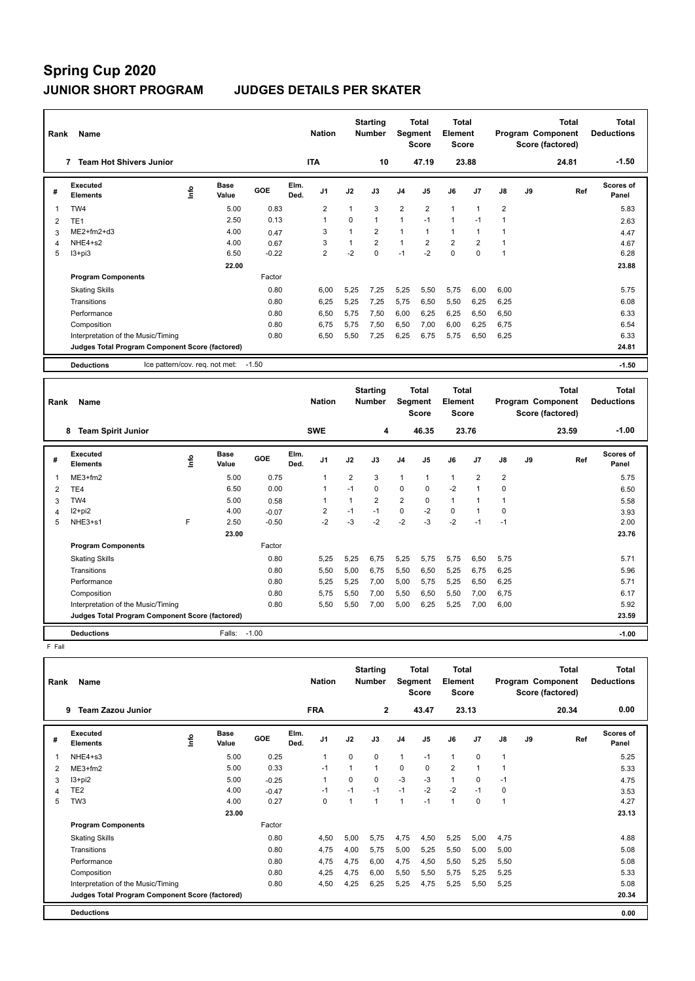| Rank | Name                                                |      |                      |         |              | <b>Nation</b>  |          | <b>Starting</b><br><b>Number</b> | Segment        | Total<br><b>Score</b> | <b>Total</b><br>Element<br><b>Score</b> |                |                |    | <b>Total</b><br>Program Component<br>Score (factored) | Total<br><b>Deductions</b> |
|------|-----------------------------------------------------|------|----------------------|---------|--------------|----------------|----------|----------------------------------|----------------|-----------------------|-----------------------------------------|----------------|----------------|----|-------------------------------------------------------|----------------------------|
|      | <b>Team Hot Shivers Junior</b><br>7                 |      |                      |         |              | <b>ITA</b>     |          | 10                               |                | 47.19                 |                                         | 23.88          |                |    | 24.81                                                 | $-1.50$                    |
| #    | Executed<br><b>Elements</b>                         | lnfo | <b>Base</b><br>Value | GOE     | Elm.<br>Ded. | J1             | J2       | J3                               | J <sub>4</sub> | J <sub>5</sub>        | J6                                      | J <sub>7</sub> | $\mathsf{J}8$  | J9 | Ref                                                   | <b>Scores of</b><br>Panel  |
| 1    | TW4                                                 |      | 5.00                 | 0.83    |              | 2              |          | 3                                | $\overline{2}$ | 2                     | $\mathbf{1}$                            | $\mathbf{1}$   | $\overline{2}$ |    |                                                       | 5.83                       |
| 2    | TE <sub>1</sub>                                     |      | 2.50                 | 0.13    |              | $\overline{1}$ | $\Omega$ | $\mathbf{1}$                     | $\mathbf{1}$   | $-1$                  | $\mathbf{1}$                            | $-1$           |                |    |                                                       | 2.63                       |
| 3    | $ME2+fm2+d3$                                        |      | 4.00                 | 0.47    |              | 3              |          | $\overline{2}$                   | 1              | $\mathbf{1}$          | $\mathbf{1}$                            | $\mathbf{1}$   |                |    |                                                       | 4.47                       |
| 4    | NHE4+s2                                             |      | 4.00                 | 0.67    |              | 3              |          | $\overline{2}$                   | $\mathbf{1}$   | $\overline{2}$        | $\overline{2}$                          | $\overline{2}$ |                |    |                                                       | 4.67                       |
| 5    | $13 + pi3$                                          |      | 6.50                 | $-0.22$ |              | $\overline{2}$ | $-2$     | $\mathbf 0$                      | $-1$           | $-2$                  | $\mathbf 0$                             | $\mathbf 0$    |                |    |                                                       | 6.28                       |
|      |                                                     |      | 22.00                |         |              |                |          |                                  |                |                       |                                         |                |                |    |                                                       | 23.88                      |
|      | <b>Program Components</b>                           |      |                      | Factor  |              |                |          |                                  |                |                       |                                         |                |                |    |                                                       |                            |
|      | <b>Skating Skills</b>                               |      |                      | 0.80    |              | 6,00           | 5,25     | 7,25                             | 5,25           | 5,50                  | 5,75                                    | 6,00           | 6,00           |    |                                                       | 5.75                       |
|      | Transitions                                         |      |                      | 0.80    |              | 6,25           | 5,25     | 7,25                             | 5,75           | 6,50                  | 5,50                                    | 6,25           | 6,25           |    |                                                       | 6.08                       |
|      | Performance                                         |      |                      | 0.80    |              | 6,50           | 5,75     | 7,50                             | 6,00           | 6,25                  | 6,25                                    | 6,50           | 6,50           |    |                                                       | 6.33                       |
|      | Composition                                         |      |                      | 0.80    |              | 6,75           | 5,75     | 7,50                             | 6,50           | 7,00                  | 6,00                                    | 6,25           | 6.75           |    |                                                       | 6.54                       |
|      | Interpretation of the Music/Timing                  |      |                      | 0.80    |              | 6,50           | 5,50     | 7,25                             | 6,25           | 6,75                  | 5,75                                    | 6,50           | 6,25           |    |                                                       | 6.33                       |
|      | Judges Total Program Component Score (factored)     |      |                      |         |              |                |          |                                  |                |                       |                                         |                |                |    |                                                       | 24.81                      |
|      | Ice pattern/cov. req. not met:<br><b>Deductions</b> |      |                      | $-1.50$ |              |                |          |                                  |                |                       |                                         |                |                |    |                                                       | $-1.50$                    |
|      |                                                     |      |                      |         |              |                |          |                                  |                |                       |                                         |                |                |    |                                                       |                            |
|      |                                                     |      |                      |         |              |                |          | <b>Ctartina</b>                  |                | Total                 | Total                                   |                |                |    | Total                                                 | Total                      |

| Rank | Name                                            |      |                      |         |              | <b>Nation</b>  |                | <b>Starting</b><br><b>Number</b> | Segment        | Total<br><b>Score</b> | <b>Total</b><br>Element<br>Score |                |                |    | <b>Total</b><br>Program Component<br>Score (factored) | <b>Total</b><br><b>Deductions</b> |
|------|-------------------------------------------------|------|----------------------|---------|--------------|----------------|----------------|----------------------------------|----------------|-----------------------|----------------------------------|----------------|----------------|----|-------------------------------------------------------|-----------------------------------|
|      | <b>Team Spirit Junior</b><br>8                  |      |                      |         |              | <b>SWE</b>     |                | 4                                |                | 46.35                 | 23.76                            |                |                |    | 23.59                                                 | $-1.00$                           |
| #    | <b>Executed</b><br><b>Elements</b>              | ١nf٥ | <b>Base</b><br>Value | GOE     | Elm.<br>Ded. | J <sub>1</sub> | J2             | J3                               | J <sub>4</sub> | J <sub>5</sub>        | J6                               | J7             | $\mathsf{J}8$  | J9 | Ref                                                   | <b>Scores of</b><br>Panel         |
|      | $ME3+fm2$                                       |      | 5.00                 | 0.75    |              | $\overline{1}$ | $\overline{2}$ | 3                                | $\mathbf{1}$   | 1                     | 1                                | $\overline{2}$ | $\overline{2}$ |    |                                                       | 5.75                              |
| 2    | TE4                                             |      | 6.50                 | 0.00    |              | $\mathbf 1$    | $-1$           | $\Omega$                         | $\mathbf 0$    | 0                     | $-2$                             | 1              | $\Omega$       |    |                                                       | 6.50                              |
| 3    | TW4                                             |      | 5.00                 | 0.58    |              | 1              |                | 2                                | $\overline{2}$ | 0                     | 1                                | 1              |                |    |                                                       | 5.58                              |
| 4    | $12 + pi2$                                      |      | 4.00                 | $-0.07$ |              | 2              | $-1$           | $-1$                             | 0              | $-2$                  | 0                                | 1              | 0              |    |                                                       | 3.93                              |
| 5    | NHE3+s1                                         | F    | 2.50                 | $-0.50$ |              | $-2$           | $-3$           | $-2$                             | $-2$           | -3                    | $-2$                             | $-1$           | $-1$           |    |                                                       | 2.00                              |
|      |                                                 |      | 23.00                |         |              |                |                |                                  |                |                       |                                  |                |                |    |                                                       | 23.76                             |
|      | <b>Program Components</b>                       |      |                      | Factor  |              |                |                |                                  |                |                       |                                  |                |                |    |                                                       |                                   |
|      | <b>Skating Skills</b>                           |      |                      | 0.80    |              | 5,25           | 5,25           | 6,75                             | 5,25           | 5,75                  | 5,75                             | 6,50           | 5,75           |    |                                                       | 5.71                              |
|      | Transitions                                     |      |                      | 0.80    |              | 5,50           | 5,00           | 6,75                             | 5,50           | 6,50                  | 5,25                             | 6,75           | 6,25           |    |                                                       | 5.96                              |
|      | Performance                                     |      |                      | 0.80    |              | 5,25           | 5,25           | 7,00                             | 5,00           | 5,75                  | 5,25                             | 6,50           | 6,25           |    |                                                       | 5.71                              |
|      | Composition                                     |      |                      | 0.80    |              | 5,75           | 5,50           | 7,00                             | 5,50           | 6,50                  | 5,50                             | 7,00           | 6,75           |    |                                                       | 6.17                              |
|      | Interpretation of the Music/Timing              |      |                      | 0.80    |              | 5,50           | 5,50           | 7,00                             | 5,00           | 6,25                  | 5,25                             | 7,00           | 6,00           |    |                                                       | 5.92                              |
|      | Judges Total Program Component Score (factored) |      |                      |         |              |                |                |                                  |                |                       |                                  |                |                |    |                                                       | 23.59                             |
|      | <b>Deductions</b>                               |      | Falls: -1.00         |         |              |                |                |                                  |                |                       |                                  |                |                |    |                                                       | $-1.00$                           |

F Fall

| Rank | Name                                            |   |                      |         |              | <b>Nation</b>  |          | <b>Starting</b><br><b>Number</b> | Segment        | Total<br><b>Score</b> | <b>Total</b><br>Element<br><b>Score</b> |          |      |    | <b>Total</b><br>Program Component<br>Score (factored) | <b>Total</b><br><b>Deductions</b> |
|------|-------------------------------------------------|---|----------------------|---------|--------------|----------------|----------|----------------------------------|----------------|-----------------------|-----------------------------------------|----------|------|----|-------------------------------------------------------|-----------------------------------|
|      | <b>Team Zazou Junior</b><br>9                   |   |                      |         |              | <b>FRA</b>     |          | $\mathbf{2}$                     |                | 43.47                 | 23.13                                   |          |      |    | 20.34                                                 | 0.00                              |
| #    | <b>Executed</b><br><b>Elements</b>              | ۴ | <b>Base</b><br>Value | GOE     | Elm.<br>Ded. | J1             | J2       | J3                               | J <sub>4</sub> | J <sub>5</sub>        | J6                                      | J7       | J8   | J9 | Ref                                                   | <b>Scores of</b><br>Panel         |
| 1    | NHE4+s3                                         |   | 5.00                 | 0.25    |              | 1              | $\Omega$ | 0                                | $\mathbf{1}$   | $-1$                  | $\mathbf{1}$                            | $\Omega$ |      |    |                                                       | 5.25                              |
| 2    | $ME3+fm2$                                       |   | 5.00                 | 0.33    |              | $-1$           |          | $\mathbf{1}$                     | $\mathbf 0$    | $\mathbf 0$           | $\overline{2}$                          | 1        |      |    |                                                       | 5.33                              |
| 3    | $13 + pi2$                                      |   | 5.00                 | $-0.25$ |              | $\overline{1}$ | $\Omega$ | 0                                | $-3$           | $-3$                  | $\mathbf{1}$                            | $\Omega$ | $-1$ |    |                                                       | 4.75                              |
| 4    | TE <sub>2</sub>                                 |   | 4.00                 | $-0.47$ |              | $-1$           | $-1$     | $-1$                             | $-1$           | $-2$                  | $-2$                                    | $-1$     | 0    |    |                                                       | 3.53                              |
| 5    | TW <sub>3</sub>                                 |   | 4.00                 | 0.27    |              | $\Omega$       |          | 1                                | $\overline{1}$ | $-1$                  | $\mathbf{1}$                            | $\Omega$ |      |    |                                                       | 4.27                              |
|      |                                                 |   | 23.00                |         |              |                |          |                                  |                |                       |                                         |          |      |    |                                                       | 23.13                             |
|      | <b>Program Components</b>                       |   |                      | Factor  |              |                |          |                                  |                |                       |                                         |          |      |    |                                                       |                                   |
|      | <b>Skating Skills</b>                           |   |                      | 0.80    |              | 4.50           | 5,00     | 5.75                             | 4,75           | 4.50                  | 5,25                                    | 5,00     | 4,75 |    |                                                       | 4.88                              |
|      | Transitions                                     |   |                      | 0.80    |              | 4.75           | 4,00     | 5.75                             | 5,00           | 5,25                  | 5,50                                    | 5,00     | 5,00 |    |                                                       | 5.08                              |
|      | Performance                                     |   |                      | 0.80    |              | 4,75           | 4,75     | 6,00                             | 4,75           | 4,50                  | 5,50                                    | 5,25     | 5,50 |    |                                                       | 5.08                              |
|      | Composition                                     |   |                      | 0.80    |              | 4,25           | 4,75     | 6,00                             | 5,50           | 5,50                  | 5,75                                    | 5,25     | 5,25 |    |                                                       | 5.33                              |
|      | Interpretation of the Music/Timing              |   |                      | 0.80    |              | 4,50           | 4,25     | 6,25                             | 5,25           | 4,75                  | 5,25                                    | 5,50     | 5,25 |    |                                                       | 5.08                              |
|      | Judges Total Program Component Score (factored) |   |                      |         |              |                |          |                                  |                |                       |                                         |          |      |    |                                                       | 20.34                             |
|      | <b>Deductions</b>                               |   |                      |         |              |                |          |                                  |                |                       |                                         |          |      |    |                                                       | 0.00                              |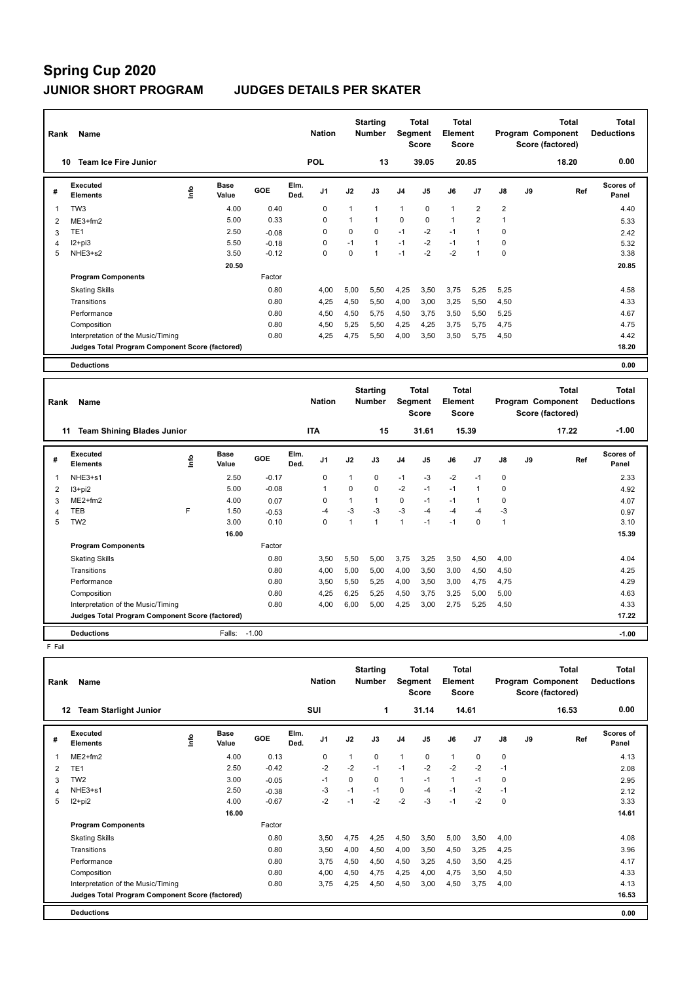| Rank           | Name                                            |    |                      |         |              | <b>Nation</b>  |              | <b>Starting</b><br><b>Number</b> |                | <b>Total</b><br><b>Segment</b><br><b>Score</b> | <b>Total</b><br>Element<br><b>Score</b> |                |                |    | <b>Total</b><br>Program Component<br>Score (factored) | <b>Total</b><br><b>Deductions</b> |
|----------------|-------------------------------------------------|----|----------------------|---------|--------------|----------------|--------------|----------------------------------|----------------|------------------------------------------------|-----------------------------------------|----------------|----------------|----|-------------------------------------------------------|-----------------------------------|
|                | <b>Team Ice Fire Junior</b><br>10               |    |                      |         |              | <b>POL</b>     |              | 13                               |                | 39.05                                          |                                         | 20.85          |                |    | 18.20                                                 | 0.00                              |
| #              | Executed<br><b>Elements</b>                     | ۴  | Base<br>Value        | GOE     | Elm.<br>Ded. | J <sub>1</sub> | J2           | J3                               | J <sub>4</sub> | J <sub>5</sub>                                 | J6                                      | J7             | J8             | J9 | Ref                                                   | Scores of<br>Panel                |
| 1              | TW <sub>3</sub>                                 |    | 4.00                 | 0.40    |              | $\mathbf 0$    | $\mathbf{1}$ | $\mathbf{1}$                     | $\mathbf{1}$   | $\mathbf 0$                                    | $\mathbf{1}$                            | $\overline{2}$ | $\overline{2}$ |    |                                                       | 4.40                              |
| $\overline{2}$ | $ME3+fm2$                                       |    | 5.00                 | 0.33    |              | 0              | 1            | $\mathbf{1}$                     | $\mathbf 0$    | $\Omega$                                       | $\mathbf{1}$                            | $\overline{2}$ | 1              |    |                                                       | 5.33                              |
| 3              | TE <sub>1</sub>                                 |    | 2.50                 | $-0.08$ |              | 0              | 0            | $\mathbf 0$                      | $-1$           | $-2$                                           | $-1$                                    | $\mathbf{1}$   | $\mathbf 0$    |    |                                                       | 2.42                              |
| 4              | $12+pi3$                                        |    | 5.50                 | $-0.18$ |              | 0              | $-1$         | $\mathbf{1}$                     | $-1$           | $-2$                                           | $-1$                                    | $\mathbf{1}$   | $\mathbf 0$    |    |                                                       | 5.32                              |
| 5              | NHE3+s2                                         |    | 3.50                 | $-0.12$ |              | $\Omega$       | $\Omega$     | $\mathbf{1}$                     | $-1$           | $-2$                                           | $-2$                                    | $\mathbf{1}$   | $\Omega$       |    |                                                       | 3.38                              |
|                |                                                 |    | 20.50                |         |              |                |              |                                  |                |                                                |                                         |                |                |    |                                                       | 20.85                             |
|                | <b>Program Components</b>                       |    |                      | Factor  |              |                |              |                                  |                |                                                |                                         |                |                |    |                                                       |                                   |
|                | <b>Skating Skills</b>                           |    |                      | 0.80    |              | 4,00           | 5,00         | 5,50                             | 4,25           | 3,50                                           | 3,75                                    | 5,25           | 5,25           |    |                                                       | 4.58                              |
|                | Transitions                                     |    |                      | 0.80    |              | 4,25           | 4,50         | 5,50                             | 4,00           | 3,00                                           | 3,25                                    | 5,50           | 4,50           |    |                                                       | 4.33                              |
|                | Performance                                     |    |                      | 0.80    |              | 4,50           | 4,50         | 5,75                             | 4,50           | 3,75                                           | 3,50                                    | 5,50           | 5,25           |    |                                                       | 4.67                              |
|                | Composition                                     |    |                      | 0.80    |              | 4,50           | 5,25         | 5,50                             | 4,25           | 4,25                                           | 3,75                                    | 5,75           | 4,75           |    |                                                       | 4.75                              |
|                | Interpretation of the Music/Timing              |    |                      | 0.80    |              | 4,25           | 4,75         | 5,50                             | 4,00           | 3,50                                           | 3,50                                    | 5,75           | 4,50           |    |                                                       | 4.42                              |
|                | Judges Total Program Component Score (factored) |    |                      |         |              |                |              |                                  |                |                                                |                                         |                |                |    |                                                       | 18.20                             |
|                |                                                 |    |                      |         |              |                |              |                                  |                |                                                |                                         |                |                |    |                                                       |                                   |
|                | <b>Deductions</b>                               |    |                      |         |              |                |              |                                  |                |                                                |                                         |                |                |    |                                                       | 0.00                              |
| Rank           | Name                                            |    |                      |         |              | <b>Nation</b>  |              | <b>Starting</b><br><b>Number</b> |                | <b>Total</b><br>Segment<br><b>Score</b>        | <b>Total</b><br>Element<br><b>Score</b> |                |                |    | <b>Total</b><br>Program Component<br>Score (factored) | <b>Total</b><br><b>Deductions</b> |
|                | <b>Team Shining Blades Junior</b><br>11         |    |                      |         |              | <b>ITA</b>     |              | 15                               |                | 31.61                                          |                                         | 15.39          |                |    | 17.22                                                 | $-1.00$                           |
| #              | <b>Executed</b><br><b>Elements</b>              | ۴ů | <b>Base</b><br>Value | GOE     | Elm.<br>Ded. | J <sub>1</sub> | J2           | J3                               | J <sub>4</sub> | J <sub>5</sub>                                 | J6                                      | J7             | J8             | J9 | Ref                                                   | Scores of<br>Panel                |
| 1              | NHE3+s1                                         |    | 2.50                 | $-0.17$ |              | $\Omega$       | 1            | $\Omega$                         | $-1$           | -3                                             | $-2$                                    | $-1$           | 0              |    |                                                       | 2.33                              |
| 2              | $13+pi2$                                        |    | 5.00                 | $-0.08$ |              | 1              | 0            | $\Omega$                         | $-2$           | $-1$                                           | $-1$                                    | $\mathbf{1}$   | $\Omega$       |    |                                                       | 4.92                              |
| 3              | $ME2+fm2$                                       |    | 4.00                 | 0.07    |              | $\Omega$       | 1            | $\mathbf{1}$                     | $\Omega$       | $-1$                                           | $-1$                                    | $\mathbf{1}$   | $\Omega$       |    |                                                       | 4.07                              |

4 TEB F 1.50 -0.53 -4 -3 -3 -3 -4 -4 -4 -3 0.97 5 TW2 3.00 0.10 0 1 1 1 -1 -1 0 1 3.10

Transitions 0.80 4,00 5,00 5,00 4,00 3,50 3,00 4,50 4,50 4.25

**Deductions** Falls: -1.00 **-1.00**

Skating Skills 3,50 5,50 5,00 3,75 3,25 3,50 4,50 4,00

Factor

 **16.00 15.39 15.39** 

0.80 3,50 5,50 5,00 3,75 3,25 3,50 4,50 4,00

Performance 0.80 3,50 5,50 5,25 4,00 3,50 3,00 4,75 4,75 4.29 Composition 0.80 4,25 6,25 5,25 4,50 3,75 3,25 5,00 5,00 4.63 Interpretation of the Music/Timing 0.80 4,00 6,00 5,00 4,25 3,00 2,75 5,25 4,50 4.33 **Judges Total Program Component Score (factored) 17.22**

**Program Components** 

 F Fall **Total Deductions Total Program Component Score (factored) Total Element Score Total Segment Score Starting Rank Name Nation Number # Executed Elements Base Value GOE J1 J2 J3 J4 J5 J6 J7 J8 J9 Scores of Panel** 1 ME2+fm2 4.00 0.13 0 1 0 1 0 0 0 **Ref**  4.13 **Elm. Ded.**  ME2+fm2 **Info 12 Team Starlight Junior SUI 1 31.14 14.61 16.53 0.00** 2 TE1 2.50 -0.42 -2 -2 -1 -1 -2 -2 -2 -1 2.08 3 TW2 3.00 -0.05 -1 0 0 1 -1 1 -1 0 2.95 4 NHE3+s1 2.50 -0.38 -3 -1 -1 0 -4 -1 -2 -1 2.12 5 I2+pi2 4.00 -0.67 -2 -1 -2 -2 -3 -1 -2 0 3.33  **16.00** 14.61 **Program Components**  Skating Skills 3,50 5,00 3,50 4,75 4,25 4,50 4,50 5,00 3,50 4,00 Factor 0.80 3,50 4,75 4,25 4,50 3,50 5,00 3,50 4,00 4.08 4.08 Transitions 0.80 3,50 4,00 4,50 4,00 3,50 4,50 3,25 4,25 3.96 Performance 0.80 3,75 4,50 4,50 4,50 3,25 4,50 3,50 4,25 4.17 Composition 0.80 4,00 4,50 4,75 4,25 4,00 4,75 3,50 4,50 4.33 Interpretation of the Music/Timing  $0.80$   $3.75$   $4.25$   $4.50$   $4.50$   $3.00$   $4.50$   $3.75$   $4.00$   $4.13$ **Deductions 0.00 Judges Total Program Component Score (factored) 16.53**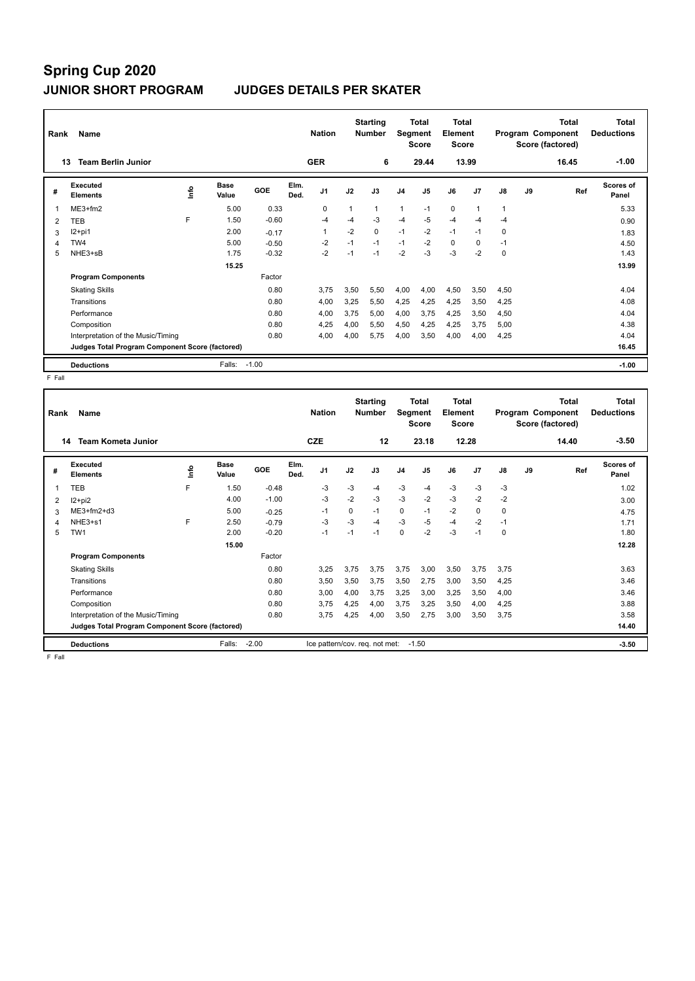| Rank | Name                                            |    |                      |         |              | <b>Nation</b>  |      | <b>Starting</b><br><b>Number</b> | Segment        | Total<br><b>Score</b> | <b>Total</b><br>Element<br><b>Score</b> |             |      |    | <b>Total</b><br>Program Component<br>Score (factored) | <b>Total</b><br><b>Deductions</b> |
|------|-------------------------------------------------|----|----------------------|---------|--------------|----------------|------|----------------------------------|----------------|-----------------------|-----------------------------------------|-------------|------|----|-------------------------------------------------------|-----------------------------------|
|      | <b>Team Berlin Junior</b><br>13                 |    |                      |         |              | <b>GER</b>     |      | 6                                |                | 29.44                 |                                         | 13.99       |      |    | 16.45                                                 | $-1.00$                           |
| #    | <b>Executed</b><br><b>Elements</b>              | ۴ů | <b>Base</b><br>Value | GOE     | Elm.<br>Ded. | J <sub>1</sub> | J2   | J3                               | J <sub>4</sub> | J5                    | J6                                      | J7          | J8   | J9 | Ref                                                   | Scores of<br>Panel                |
| 1    | $ME3+fm2$                                       |    | 5.00                 | 0.33    |              | 0              | 1    | 1                                | 1              | $-1$                  | $\mathbf 0$                             | -1          |      |    |                                                       | 5.33                              |
| 2    | <b>TEB</b>                                      | F  | 1.50                 | $-0.60$ |              | $-4$           | -4   | -3                               | $-4$           | $-5$                  | $-4$                                    | -4          | $-4$ |    |                                                       | 0.90                              |
| 3    | $12+pi1$                                        |    | 2.00                 | $-0.17$ |              | -1             | $-2$ | 0                                | $-1$           | $-2$                  | $-1$                                    | $-1$        | 0    |    |                                                       | 1.83                              |
| 4    | TW4                                             |    | 5.00                 | $-0.50$ |              | $-2$           | $-1$ | $-1$                             | $-1$           | $-2$                  | 0                                       | $\mathbf 0$ | $-1$ |    |                                                       | 4.50                              |
| 5    | NHE3+sB                                         |    | 1.75                 | $-0.32$ |              | $-2$           | $-1$ | $-1$                             | $-2$           | $-3$                  | $-3$                                    | $-2$        | 0    |    |                                                       | 1.43                              |
|      |                                                 |    | 15.25                |         |              |                |      |                                  |                |                       |                                         |             |      |    |                                                       | 13.99                             |
|      | <b>Program Components</b>                       |    |                      | Factor  |              |                |      |                                  |                |                       |                                         |             |      |    |                                                       |                                   |
|      | <b>Skating Skills</b>                           |    |                      | 0.80    |              | 3,75           | 3,50 | 5,50                             | 4,00           | 4,00                  | 4,50                                    | 3,50        | 4,50 |    |                                                       | 4.04                              |
|      | Transitions                                     |    |                      | 0.80    |              | 4,00           | 3,25 | 5,50                             | 4,25           | 4,25                  | 4,25                                    | 3,50        | 4,25 |    |                                                       | 4.08                              |
|      | Performance                                     |    |                      | 0.80    |              | 4,00           | 3,75 | 5,00                             | 4,00           | 3,75                  | 4,25                                    | 3,50        | 4,50 |    |                                                       | 4.04                              |
|      | Composition                                     |    |                      | 0.80    |              | 4,25           | 4,00 | 5,50                             | 4,50           | 4,25                  | 4,25                                    | 3,75        | 5,00 |    |                                                       | 4.38                              |
|      | Interpretation of the Music/Timing              |    |                      | 0.80    |              | 4.00           | 4,00 | 5,75                             | 4,00           | 3,50                  | 4,00                                    | 4,00        | 4,25 |    |                                                       | 4.04                              |
|      | Judges Total Program Component Score (factored) |    |                      |         |              |                |      |                                  |                |                       |                                         |             |      |    |                                                       | 16.45                             |
|      | <b>Deductions</b>                               |    | Falls:               | $-1.00$ |              |                |      |                                  |                |                       |                                         |             |      |    |                                                       | $-1.00$                           |

F Fall

| Rank | Name                                            |    |                      |         |              | <b>Nation</b>                  |             | <b>Starting</b><br><b>Number</b> | Segment        | Total<br>Score | Total<br>Element<br><b>Score</b> |                |          |    | <b>Total</b><br>Program Component<br>Score (factored) | Total<br><b>Deductions</b> |
|------|-------------------------------------------------|----|----------------------|---------|--------------|--------------------------------|-------------|----------------------------------|----------------|----------------|----------------------------------|----------------|----------|----|-------------------------------------------------------|----------------------------|
| 14   | <b>Team Kometa Junior</b>                       |    |                      |         |              | <b>CZE</b>                     |             | 12                               |                | 23.18          |                                  | 12.28          |          |    | 14.40                                                 | $-3.50$                    |
| #    | Executed<br><b>Elements</b>                     | ١m | <b>Base</b><br>Value | GOE     | Elm.<br>Ded. | J <sub>1</sub>                 | J2          | J3                               | J <sub>4</sub> | J <sub>5</sub> | J6                               | J <sub>7</sub> | J8       | J9 | Ref                                                   | <b>Scores of</b><br>Panel  |
|      | <b>TEB</b>                                      | F  | 1.50                 | $-0.48$ |              | -3                             | $-3$        | -4                               | $-3$           | -4             | $-3$                             | $-3$           | $-3$     |    |                                                       | 1.02                       |
| 2    | $12 + pi2$                                      |    | 4.00                 | $-1.00$ |              | $-3$                           | $-2$        | $-3$                             | $-3$           | $-2$           | $-3$                             | $-2$           | $-2$     |    |                                                       | 3.00                       |
| 3    | $ME3+fm2+d3$                                    |    | 5.00                 | $-0.25$ |              | $-1$                           | $\mathbf 0$ | $-1$                             | 0              | $-1$           | $-2$                             | $\mathbf 0$    | $\Omega$ |    |                                                       | 4.75                       |
| 4    | NHE3+s1                                         | F  | 2.50                 | $-0.79$ |              | $-3$                           | $-3$        | -4                               | $-3$           | $-5$           | $-4$                             | $-2$           | $-1$     |    |                                                       | 1.71                       |
| 5    | TW <sub>1</sub>                                 |    | 2.00                 | $-0.20$ |              | $-1$                           | $-1$        | $-1$                             | 0              | $-2$           | $-3$                             | $-1$           | $\Omega$ |    |                                                       | 1.80                       |
|      |                                                 |    | 15.00                |         |              |                                |             |                                  |                |                |                                  |                |          |    |                                                       | 12.28                      |
|      | <b>Program Components</b>                       |    |                      | Factor  |              |                                |             |                                  |                |                |                                  |                |          |    |                                                       |                            |
|      | <b>Skating Skills</b>                           |    |                      | 0.80    |              | 3,25                           | 3.75        | 3.75                             | 3,75           | 3,00           | 3,50                             | 3,75           | 3,75     |    |                                                       | 3.63                       |
|      | Transitions                                     |    |                      | 0.80    |              | 3,50                           | 3,50        | 3.75                             | 3,50           | 2.75           | 3,00                             | 3,50           | 4.25     |    |                                                       | 3.46                       |
|      | Performance                                     |    |                      | 0.80    |              | 3,00                           | 4,00        | 3,75                             | 3,25           | 3,00           | 3,25                             | 3,50           | 4,00     |    |                                                       | 3.46                       |
|      | Composition                                     |    |                      | 0.80    |              | 3.75                           | 4,25        | 4,00                             | 3,75           | 3,25           | 3.50                             | 4.00           | 4.25     |    |                                                       | 3.88                       |
|      | Interpretation of the Music/Timing              |    |                      | 0.80    |              | 3.75                           | 4,25        | 4,00                             | 3,50           | 2,75           | 3.00                             | 3,50           | 3.75     |    |                                                       | 3.58                       |
|      | Judges Total Program Component Score (factored) |    |                      |         |              |                                |             |                                  |                |                |                                  |                |          |    |                                                       | 14.40                      |
|      | <b>Deductions</b>                               |    | Falls:               | $-2.00$ |              | Ice pattern/cov. req. not met: |             |                                  |                | $-1.50$        |                                  |                |          |    |                                                       | $-3.50$                    |

F Fall